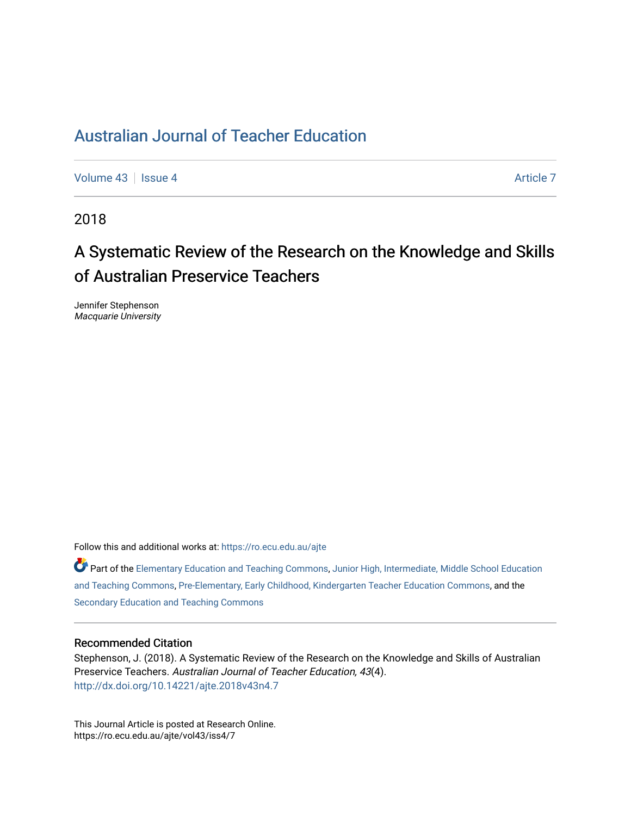[Volume 43](https://ro.ecu.edu.au/ajte/vol43) | [Issue 4](https://ro.ecu.edu.au/ajte/vol43/iss4) Article 7

2018

# A Systematic Review of the Research on the Knowledge and Skills of Australian Preservice Teachers

Jennifer Stephenson Macquarie University

Follow this and additional works at: [https://ro.ecu.edu.au/ajte](https://ro.ecu.edu.au/ajte?utm_source=ro.ecu.edu.au%2Fajte%2Fvol43%2Fiss4%2F7&utm_medium=PDF&utm_campaign=PDFCoverPages) 

Part of the [Elementary Education and Teaching Commons,](http://network.bepress.com/hgg/discipline/805?utm_source=ro.ecu.edu.au%2Fajte%2Fvol43%2Fiss4%2F7&utm_medium=PDF&utm_campaign=PDFCoverPages) [Junior High, Intermediate, Middle School Education](http://network.bepress.com/hgg/discipline/807?utm_source=ro.ecu.edu.au%2Fajte%2Fvol43%2Fiss4%2F7&utm_medium=PDF&utm_campaign=PDFCoverPages) [and Teaching Commons](http://network.bepress.com/hgg/discipline/807?utm_source=ro.ecu.edu.au%2Fajte%2Fvol43%2Fiss4%2F7&utm_medium=PDF&utm_campaign=PDFCoverPages), [Pre-Elementary, Early Childhood, Kindergarten Teacher Education Commons,](http://network.bepress.com/hgg/discipline/808?utm_source=ro.ecu.edu.au%2Fajte%2Fvol43%2Fiss4%2F7&utm_medium=PDF&utm_campaign=PDFCoverPages) and the [Secondary Education and Teaching Commons](http://network.bepress.com/hgg/discipline/809?utm_source=ro.ecu.edu.au%2Fajte%2Fvol43%2Fiss4%2F7&utm_medium=PDF&utm_campaign=PDFCoverPages) 

#### Recommended Citation

Stephenson, J. (2018). A Systematic Review of the Research on the Knowledge and Skills of Australian Preservice Teachers. Australian Journal of Teacher Education, 43(4). <http://dx.doi.org/10.14221/ajte.2018v43n4.7>

This Journal Article is posted at Research Online. https://ro.ecu.edu.au/ajte/vol43/iss4/7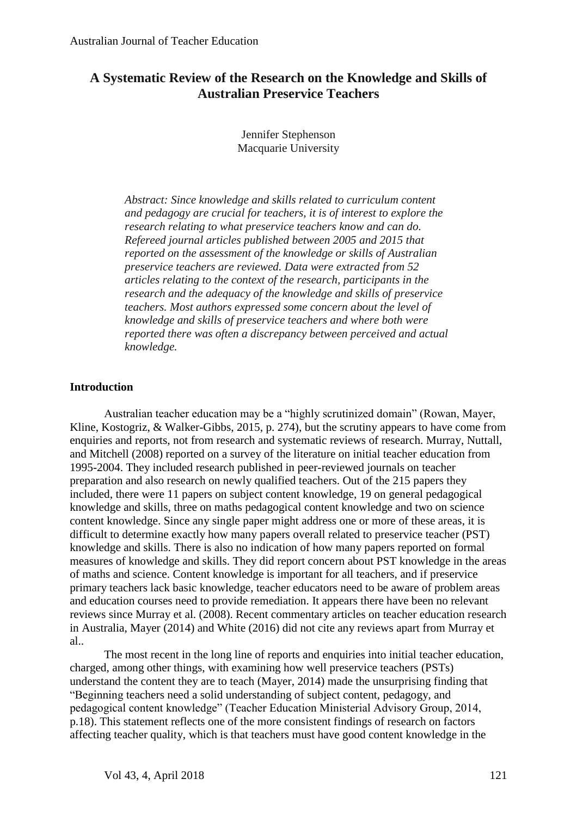# **A Systematic Review of the Research on the Knowledge and Skills of Australian Preservice Teachers**

Jennifer Stephenson Macquarie University

*Abstract: Since knowledge and skills related to curriculum content and pedagogy are crucial for teachers, it is of interest to explore the research relating to what preservice teachers know and can do. Refereed journal articles published between 2005 and 2015 that reported on the assessment of the knowledge or skills of Australian preservice teachers are reviewed. Data were extracted from 52 articles relating to the context of the research, participants in the research and the adequacy of the knowledge and skills of preservice teachers. Most authors expressed some concern about the level of knowledge and skills of preservice teachers and where both were reported there was often a discrepancy between perceived and actual knowledge.*

### **Introduction**

Australian teacher education may be a "highly scrutinized domain" (Rowan, Mayer, Kline, Kostogriz, & Walker-Gibbs, 2015, p. 274), but the scrutiny appears to have come from enquiries and reports, not from research and systematic reviews of research. Murray, Nuttall, and Mitchell (2008) reported on a survey of the literature on initial teacher education from 1995-2004. They included research published in peer-reviewed journals on teacher preparation and also research on newly qualified teachers. Out of the 215 papers they included, there were 11 papers on subject content knowledge, 19 on general pedagogical knowledge and skills, three on maths pedagogical content knowledge and two on science content knowledge. Since any single paper might address one or more of these areas, it is difficult to determine exactly how many papers overall related to preservice teacher (PST) knowledge and skills. There is also no indication of how many papers reported on formal measures of knowledge and skills. They did report concern about PST knowledge in the areas of maths and science. Content knowledge is important for all teachers, and if preservice primary teachers lack basic knowledge, teacher educators need to be aware of problem areas and education courses need to provide remediation. It appears there have been no relevant reviews since Murray et al. (2008). Recent commentary articles on teacher education research in Australia, Mayer (2014) and White (2016) did not cite any reviews apart from Murray et al..

The most recent in the long line of reports and enquiries into initial teacher education, charged, among other things, with examining how well preservice teachers (PSTs) understand the content they are to teach (Mayer, 2014) made the unsurprising finding that "Beginning teachers need a solid understanding of subject content, pedagogy, and pedagogical content knowledge" (Teacher Education Ministerial Advisory Group, 2014, p.18). This statement reflects one of the more consistent findings of research on factors affecting teacher quality, which is that teachers must have good content knowledge in the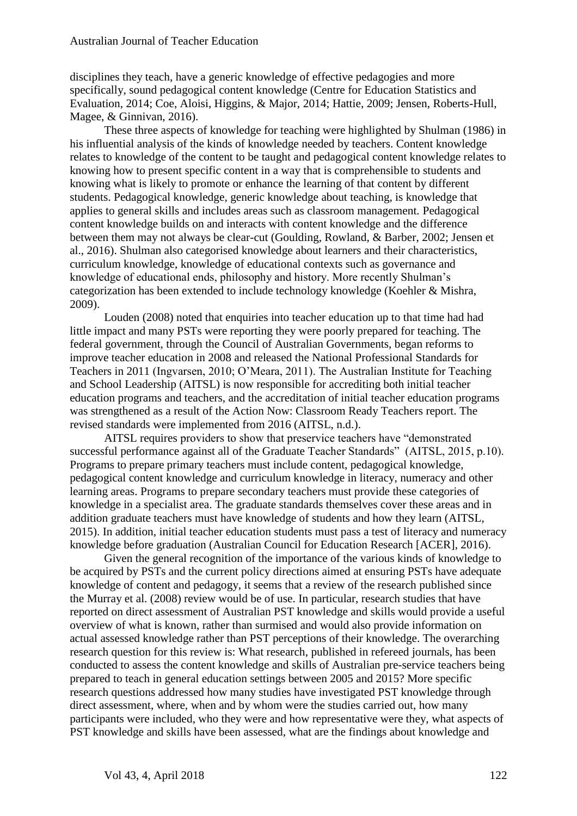disciplines they teach, have a generic knowledge of effective pedagogies and more specifically, sound pedagogical content knowledge (Centre for Education Statistics and Evaluation, 2014; Coe, Aloisi, Higgins, & Major, 2014; Hattie, 2009; Jensen, Roberts-Hull, Magee, & Ginnivan, 2016).

These three aspects of knowledge for teaching were highlighted by Shulman (1986) in his influential analysis of the kinds of knowledge needed by teachers. Content knowledge relates to knowledge of the content to be taught and pedagogical content knowledge relates to knowing how to present specific content in a way that is comprehensible to students and knowing what is likely to promote or enhance the learning of that content by different students. Pedagogical knowledge, generic knowledge about teaching, is knowledge that applies to general skills and includes areas such as classroom management. Pedagogical content knowledge builds on and interacts with content knowledge and the difference between them may not always be clear-cut (Goulding, Rowland, & Barber, 2002; Jensen et al., 2016). Shulman also categorised knowledge about learners and their characteristics, curriculum knowledge, knowledge of educational contexts such as governance and knowledge of educational ends, philosophy and history. More recently Shulman's categorization has been extended to include technology knowledge (Koehler & Mishra, 2009).

Louden (2008) noted that enquiries into teacher education up to that time had had little impact and many PSTs were reporting they were poorly prepared for teaching. The federal government, through the Council of Australian Governments, began reforms to improve teacher education in 2008 and released the National Professional Standards for Teachers in 2011 (Ingvarsen, 2010; O'Meara, 2011). The Australian Institute for Teaching and School Leadership (AITSL) is now responsible for accrediting both initial teacher education programs and teachers, and the accreditation of initial teacher education programs was strengthened as a result of the Action Now: Classroom Ready Teachers report. The revised standards were implemented from 2016 (AITSL, n.d.).

AITSL requires providers to show that preservice teachers have "demonstrated successful performance against all of the Graduate Teacher Standards" (AITSL, 2015, p.10). Programs to prepare primary teachers must include content, pedagogical knowledge, pedagogical content knowledge and curriculum knowledge in literacy, numeracy and other learning areas. Programs to prepare secondary teachers must provide these categories of knowledge in a specialist area. The graduate standards themselves cover these areas and in addition graduate teachers must have knowledge of students and how they learn (AITSL, 2015). In addition, initial teacher education students must pass a test of literacy and numeracy knowledge before graduation (Australian Council for Education Research [ACER], 2016).

Given the general recognition of the importance of the various kinds of knowledge to be acquired by PSTs and the current policy directions aimed at ensuring PSTs have adequate knowledge of content and pedagogy, it seems that a review of the research published since the Murray et al. (2008) review would be of use. In particular, research studies that have reported on direct assessment of Australian PST knowledge and skills would provide a useful overview of what is known, rather than surmised and would also provide information on actual assessed knowledge rather than PST perceptions of their knowledge. The overarching research question for this review is: What research, published in refereed journals, has been conducted to assess the content knowledge and skills of Australian pre-service teachers being prepared to teach in general education settings between 2005 and 2015? More specific research questions addressed how many studies have investigated PST knowledge through direct assessment, where, when and by whom were the studies carried out, how many participants were included, who they were and how representative were they, what aspects of PST knowledge and skills have been assessed, what are the findings about knowledge and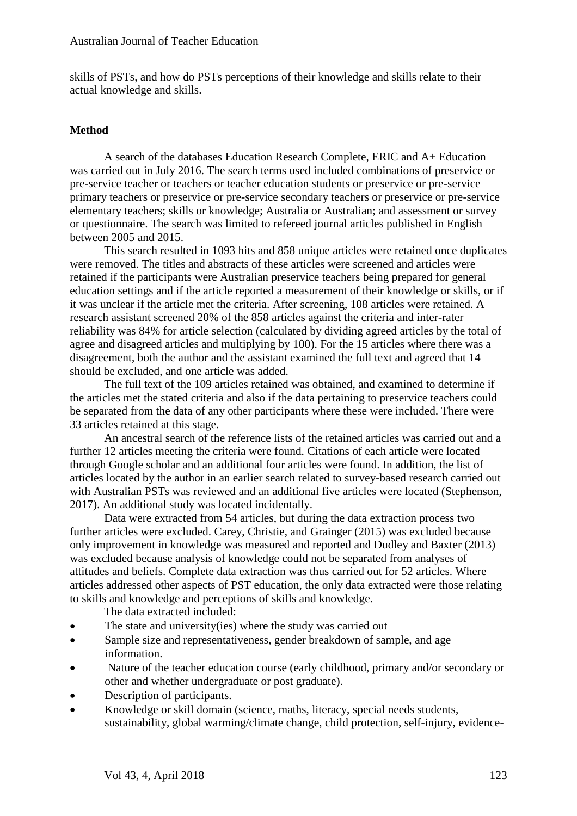skills of PSTs, and how do PSTs perceptions of their knowledge and skills relate to their actual knowledge and skills.

## **Method**

A search of the databases Education Research Complete, ERIC and A+ Education was carried out in July 2016. The search terms used included combinations of preservice or pre-service teacher or teachers or teacher education students or preservice or pre-service primary teachers or preservice or pre-service secondary teachers or preservice or pre-service elementary teachers; skills or knowledge; Australia or Australian; and assessment or survey or questionnaire. The search was limited to refereed journal articles published in English between 2005 and 2015.

This search resulted in 1093 hits and 858 unique articles were retained once duplicates were removed. The titles and abstracts of these articles were screened and articles were retained if the participants were Australian preservice teachers being prepared for general education settings and if the article reported a measurement of their knowledge or skills, or if it was unclear if the article met the criteria. After screening, 108 articles were retained. A research assistant screened 20% of the 858 articles against the criteria and inter-rater reliability was 84% for article selection (calculated by dividing agreed articles by the total of agree and disagreed articles and multiplying by 100). For the 15 articles where there was a disagreement, both the author and the assistant examined the full text and agreed that 14 should be excluded, and one article was added.

The full text of the 109 articles retained was obtained, and examined to determine if the articles met the stated criteria and also if the data pertaining to preservice teachers could be separated from the data of any other participants where these were included. There were 33 articles retained at this stage.

An ancestral search of the reference lists of the retained articles was carried out and a further 12 articles meeting the criteria were found. Citations of each article were located through Google scholar and an additional four articles were found. In addition, the list of articles located by the author in an earlier search related to survey-based research carried out with Australian PSTs was reviewed and an additional five articles were located (Stephenson, 2017). An additional study was located incidentally.

Data were extracted from 54 articles, but during the data extraction process two further articles were excluded. Carey, Christie, and Grainger (2015) was excluded because only improvement in knowledge was measured and reported and Dudley and Baxter (2013) was excluded because analysis of knowledge could not be separated from analyses of attitudes and beliefs. Complete data extraction was thus carried out for 52 articles. Where articles addressed other aspects of PST education, the only data extracted were those relating to skills and knowledge and perceptions of skills and knowledge.

The data extracted included:

- The state and university(ies) where the study was carried out
- Sample size and representativeness, gender breakdown of sample, and age information.
- Nature of the teacher education course (early childhood, primary and/or secondary or other and whether undergraduate or post graduate).
- Description of participants.
- Knowledge or skill domain (science, maths, literacy, special needs students, sustainability, global warming/climate change, child protection, self-injury, evidence-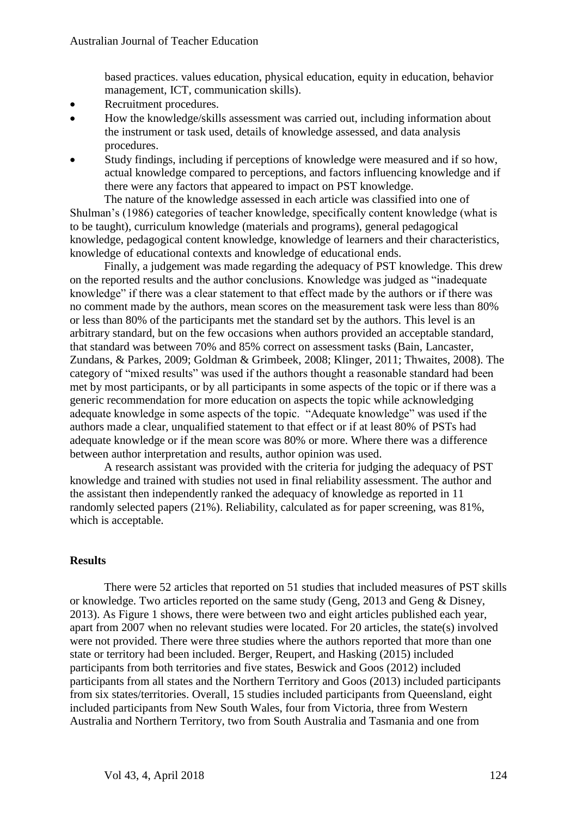based practices. values education, physical education, equity in education, behavior management, ICT, communication skills).

- Recruitment procedures.
- How the knowledge/skills assessment was carried out, including information about the instrument or task used, details of knowledge assessed, and data analysis procedures.
- Study findings, including if perceptions of knowledge were measured and if so how, actual knowledge compared to perceptions, and factors influencing knowledge and if there were any factors that appeared to impact on PST knowledge.

The nature of the knowledge assessed in each article was classified into one of Shulman's (1986) categories of teacher knowledge, specifically content knowledge (what is to be taught), curriculum knowledge (materials and programs), general pedagogical knowledge, pedagogical content knowledge, knowledge of learners and their characteristics, knowledge of educational contexts and knowledge of educational ends.

Finally, a judgement was made regarding the adequacy of PST knowledge. This drew on the reported results and the author conclusions. Knowledge was judged as "inadequate knowledge" if there was a clear statement to that effect made by the authors or if there was no comment made by the authors, mean scores on the measurement task were less than 80% or less than 80% of the participants met the standard set by the authors. This level is an arbitrary standard, but on the few occasions when authors provided an acceptable standard, that standard was between 70% and 85% correct on assessment tasks (Bain, Lancaster, Zundans, & Parkes, 2009; Goldman & Grimbeek, 2008; Klinger, 2011; Thwaites, 2008). The category of "mixed results" was used if the authors thought a reasonable standard had been met by most participants, or by all participants in some aspects of the topic or if there was a generic recommendation for more education on aspects the topic while acknowledging adequate knowledge in some aspects of the topic. "Adequate knowledge" was used if the authors made a clear, unqualified statement to that effect or if at least 80% of PSTs had adequate knowledge or if the mean score was 80% or more. Where there was a difference between author interpretation and results, author opinion was used.

A research assistant was provided with the criteria for judging the adequacy of PST knowledge and trained with studies not used in final reliability assessment. The author and the assistant then independently ranked the adequacy of knowledge as reported in 11 randomly selected papers (21%). Reliability, calculated as for paper screening, was 81%, which is acceptable.

# **Results**

There were 52 articles that reported on 51 studies that included measures of PST skills or knowledge. Two articles reported on the same study (Geng, 2013 and Geng & Disney, 2013). As Figure 1 shows, there were between two and eight articles published each year, apart from 2007 when no relevant studies were located. For 20 articles, the state(s) involved were not provided. There were three studies where the authors reported that more than one state or territory had been included. Berger, Reupert, and Hasking (2015) included participants from both territories and five states, Beswick and Goos (2012) included participants from all states and the Northern Territory and Goos (2013) included participants from six states/territories. Overall, 15 studies included participants from Queensland, eight included participants from New South Wales, four from Victoria, three from Western Australia and Northern Territory, two from South Australia and Tasmania and one from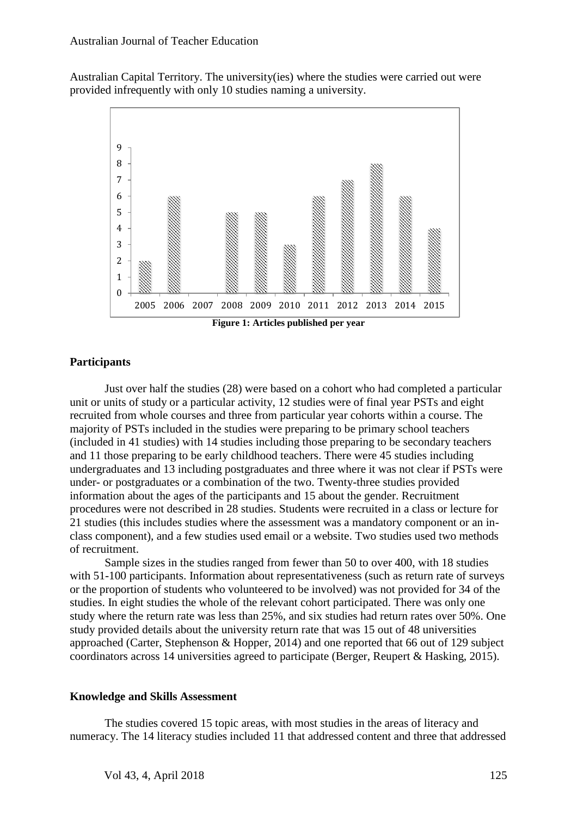Australian Capital Territory. The university(ies) where the studies were carried out were provided infrequently with only 10 studies naming a university.



#### **Participants**

Just over half the studies (28) were based on a cohort who had completed a particular unit or units of study or a particular activity, 12 studies were of final year PSTs and eight recruited from whole courses and three from particular year cohorts within a course. The majority of PSTs included in the studies were preparing to be primary school teachers (included in 41 studies) with 14 studies including those preparing to be secondary teachers and 11 those preparing to be early childhood teachers. There were 45 studies including undergraduates and 13 including postgraduates and three where it was not clear if PSTs were under- or postgraduates or a combination of the two. Twenty-three studies provided information about the ages of the participants and 15 about the gender. Recruitment procedures were not described in 28 studies. Students were recruited in a class or lecture for 21 studies (this includes studies where the assessment was a mandatory component or an inclass component), and a few studies used email or a website. Two studies used two methods of recruitment.

Sample sizes in the studies ranged from fewer than 50 to over 400, with 18 studies with 51-100 participants. Information about representativeness (such as return rate of surveys or the proportion of students who volunteered to be involved) was not provided for 34 of the studies. In eight studies the whole of the relevant cohort participated. There was only one study where the return rate was less than 25%, and six studies had return rates over 50%. One study provided details about the university return rate that was 15 out of 48 universities approached (Carter, Stephenson & Hopper, 2014) and one reported that 66 out of 129 subject coordinators across 14 universities agreed to participate (Berger, Reupert & Hasking, 2015).

#### **Knowledge and Skills Assessment**

The studies covered 15 topic areas, with most studies in the areas of literacy and numeracy. The 14 literacy studies included 11 that addressed content and three that addressed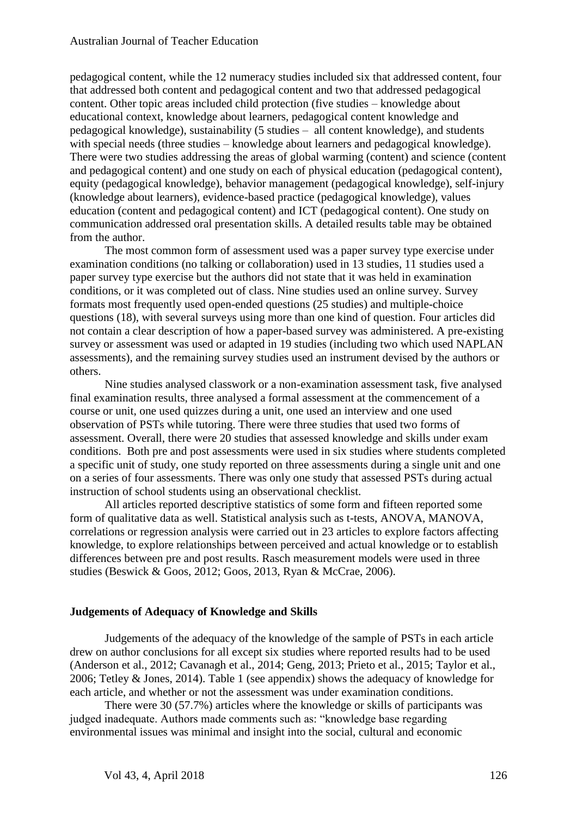pedagogical content, while the 12 numeracy studies included six that addressed content, four that addressed both content and pedagogical content and two that addressed pedagogical content. Other topic areas included child protection (five studies – knowledge about educational context, knowledge about learners, pedagogical content knowledge and pedagogical knowledge), sustainability (5 studies – all content knowledge), and students with special needs (three studies – knowledge about learners and pedagogical knowledge). There were two studies addressing the areas of global warming (content) and science (content and pedagogical content) and one study on each of physical education (pedagogical content), equity (pedagogical knowledge), behavior management (pedagogical knowledge), self-injury (knowledge about learners), evidence-based practice (pedagogical knowledge), values education (content and pedagogical content) and ICT (pedagogical content). One study on communication addressed oral presentation skills. A detailed results table may be obtained from the author.

The most common form of assessment used was a paper survey type exercise under examination conditions (no talking or collaboration) used in 13 studies, 11 studies used a paper survey type exercise but the authors did not state that it was held in examination conditions, or it was completed out of class. Nine studies used an online survey. Survey formats most frequently used open-ended questions (25 studies) and multiple-choice questions (18), with several surveys using more than one kind of question. Four articles did not contain a clear description of how a paper-based survey was administered. A pre-existing survey or assessment was used or adapted in 19 studies (including two which used NAPLAN assessments), and the remaining survey studies used an instrument devised by the authors or others.

Nine studies analysed classwork or a non-examination assessment task, five analysed final examination results, three analysed a formal assessment at the commencement of a course or unit, one used quizzes during a unit, one used an interview and one used observation of PSTs while tutoring. There were three studies that used two forms of assessment. Overall, there were 20 studies that assessed knowledge and skills under exam conditions. Both pre and post assessments were used in six studies where students completed a specific unit of study, one study reported on three assessments during a single unit and one on a series of four assessments. There was only one study that assessed PSTs during actual instruction of school students using an observational checklist.

All articles reported descriptive statistics of some form and fifteen reported some form of qualitative data as well. Statistical analysis such as t-tests, ANOVA, MANOVA, correlations or regression analysis were carried out in 23 articles to explore factors affecting knowledge, to explore relationships between perceived and actual knowledge or to establish differences between pre and post results. Rasch measurement models were used in three studies (Beswick & Goos, 2012; Goos, 2013, Ryan & McCrae, 2006).

### **Judgements of Adequacy of Knowledge and Skills**

Judgements of the adequacy of the knowledge of the sample of PSTs in each article drew on author conclusions for all except six studies where reported results had to be used (Anderson et al., 2012; Cavanagh et al., 2014; Geng, 2013; Prieto et al., 2015; Taylor et al., 2006; Tetley & Jones, 2014). Table 1 (see appendix) shows the adequacy of knowledge for each article, and whether or not the assessment was under examination conditions.

There were 30 (57.7%) articles where the knowledge or skills of participants was judged inadequate. Authors made comments such as: "knowledge base regarding environmental issues was minimal and insight into the social, cultural and economic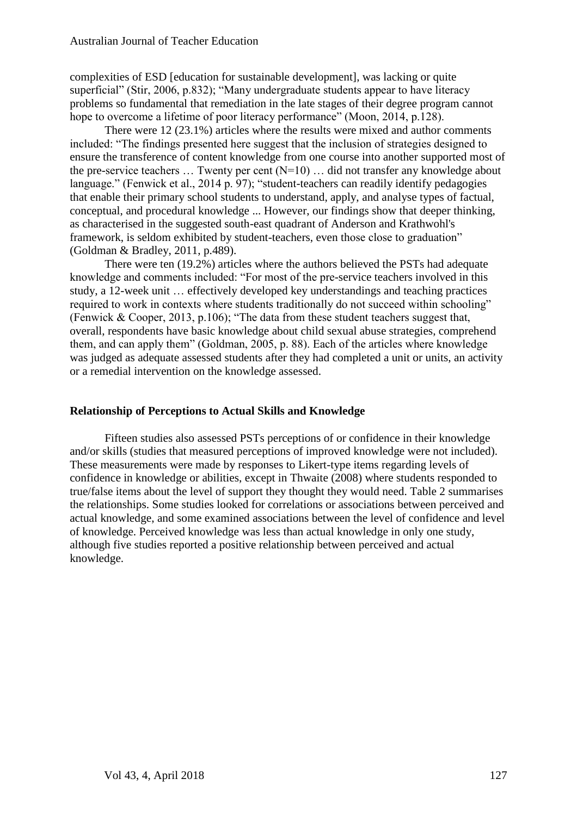complexities of ESD [education for sustainable development], was lacking or quite superficial" (Stir, 2006, p.832); "Many undergraduate students appear to have literacy problems so fundamental that remediation in the late stages of their degree program cannot hope to overcome a lifetime of poor literacy performance" (Moon, 2014, p.128).

There were 12 (23.1%) articles where the results were mixed and author comments included: "The findings presented here suggest that the inclusion of strategies designed to ensure the transference of content knowledge from one course into another supported most of the pre-service teachers  $\dots$  Twenty per cent  $(N=10)$   $\dots$  did not transfer any knowledge about language." (Fenwick et al., 2014 p. 97); "student-teachers can readily identify pedagogies that enable their primary school students to understand, apply, and analyse types of factual, conceptual, and procedural knowledge ... However, our findings show that deeper thinking, as characterised in the suggested south-east quadrant of Anderson and Krathwohl's framework, is seldom exhibited by student-teachers, even those close to graduation" (Goldman & Bradley, 2011, p.489).

There were ten (19.2%) articles where the authors believed the PSTs had adequate knowledge and comments included: "For most of the pre-service teachers involved in this study, a 12-week unit … effectively developed key understandings and teaching practices required to work in contexts where students traditionally do not succeed within schooling" (Fenwick & Cooper, 2013, p.106); "The data from these student teachers suggest that, overall, respondents have basic knowledge about child sexual abuse strategies, comprehend them, and can apply them" (Goldman, 2005, p. 88). Each of the articles where knowledge was judged as adequate assessed students after they had completed a unit or units, an activity or a remedial intervention on the knowledge assessed.

## **Relationship of Perceptions to Actual Skills and Knowledge**

Fifteen studies also assessed PSTs perceptions of or confidence in their knowledge and/or skills (studies that measured perceptions of improved knowledge were not included). These measurements were made by responses to Likert-type items regarding levels of confidence in knowledge or abilities, except in Thwaite (2008) where students responded to true/false items about the level of support they thought they would need. Table 2 summarises the relationships. Some studies looked for correlations or associations between perceived and actual knowledge, and some examined associations between the level of confidence and level of knowledge. Perceived knowledge was less than actual knowledge in only one study, although five studies reported a positive relationship between perceived and actual knowledge.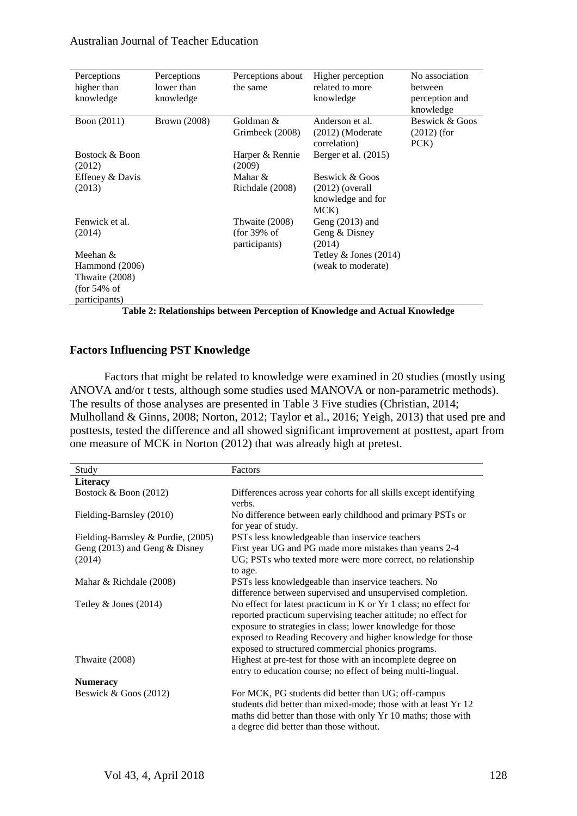| Perceptions<br>higher than<br>knowledge | Perceptions<br>lower than<br>knowledge | Perceptions about<br>the same                     | Higher perception<br>related to more<br>knowledge                   | No association<br>between<br>perception and<br>knowledge |
|-----------------------------------------|----------------------------------------|---------------------------------------------------|---------------------------------------------------------------------|----------------------------------------------------------|
| Boon (2011)                             | <b>Brown</b> (2008)                    | Goldman &<br>Grimbeek (2008)                      | Anderson et al.<br>$(2012)$ (Moderate<br>correlation)               | Beswick & Goos<br>$(2012)$ (for<br>PCK)                  |
| Bostock & Boon<br>(2012)                |                                        | Harper & Rennie<br>(2009)                         | Berger et al. (2015)                                                |                                                          |
| Effeney & Davis<br>(2013)               |                                        | Mahar &<br>Richdale (2008)                        | Beswick & Goos<br>$(2012)$ (overall<br>knowledge and for<br>$MCK$ ) |                                                          |
| Fenwick et al.<br>(2014)                |                                        | Thwaite (2008)<br>$(for 39\% of$<br>participants) | Geng $(2013)$ and<br>Geng & Disney<br>(2014)                        |                                                          |
| Meehan &                                |                                        |                                                   | Tetley $&$ Jones (2014)                                             |                                                          |
| Hammond (2006)                          |                                        |                                                   | (weak to moderate)                                                  |                                                          |
| Thwaite (2008)                          |                                        |                                                   |                                                                     |                                                          |
| $($ for 54% of<br>participants)         |                                        |                                                   |                                                                     |                                                          |

**Table 2: Relationships between Perception of Knowledge and Actual Knowledge**

## **Factors Influencing PST Knowledge**

Factors that might be related to knowledge were examined in 20 studies (mostly using ANOVA and/or t tests, although some studies used MANOVA or non-parametric methods). The results of those analyses are presented in Table 3 Five studies (Christian, 2014; Mulholland & Ginns, 2008; Norton, 2012; Taylor et al., 2016; Yeigh, 2013) that used pre and posttests, tested the difference and all showed significant improvement at posttest, apart from one measure of MCK in Norton (2012) that was already high at pretest.

| Study                              | Factors                                                                                                                                                                                                                                                                                                              |  |  |
|------------------------------------|----------------------------------------------------------------------------------------------------------------------------------------------------------------------------------------------------------------------------------------------------------------------------------------------------------------------|--|--|
| <b>Literacy</b>                    |                                                                                                                                                                                                                                                                                                                      |  |  |
| Bostock & Boon (2012)              | Differences across year cohorts for all skills except identifying                                                                                                                                                                                                                                                    |  |  |
|                                    | verbs.                                                                                                                                                                                                                                                                                                               |  |  |
| Fielding-Barnsley (2010)           | No difference between early childhood and primary PSTs or                                                                                                                                                                                                                                                            |  |  |
|                                    | for year of study.                                                                                                                                                                                                                                                                                                   |  |  |
| Fielding-Barnsley & Purdie, (2005) | PSTs less knowledgeable than inservice teachers                                                                                                                                                                                                                                                                      |  |  |
| Geng $(2013)$ and Geng & Disney    | First year UG and PG made more mistakes than years 2-4                                                                                                                                                                                                                                                               |  |  |
| (2014)                             | UG; PSTs who texted more were more correct, no relationship                                                                                                                                                                                                                                                          |  |  |
|                                    | to age.                                                                                                                                                                                                                                                                                                              |  |  |
| Mahar & Richdale (2008)            | PSTs less knowledgeable than inservice teachers. No                                                                                                                                                                                                                                                                  |  |  |
|                                    | difference between supervised and unsupervised completion.                                                                                                                                                                                                                                                           |  |  |
| Tetley $&$ Jones (2014)            | No effect for latest practicum in K or Yr 1 class; no effect for<br>reported practicum supervising teacher attitude; no effect for<br>exposure to strategies in class; lower knowledge for those<br>exposed to Reading Recovery and higher knowledge for those<br>exposed to structured commercial phonics programs. |  |  |
| Thwaite (2008)                     | Highest at pre-test for those with an incomplete degree on                                                                                                                                                                                                                                                           |  |  |
|                                    | entry to education course; no effect of being multi-lingual.                                                                                                                                                                                                                                                         |  |  |
| <b>Numeracy</b>                    |                                                                                                                                                                                                                                                                                                                      |  |  |
| Beswick $&\text{Goos}(2012)$       | For MCK, PG students did better than UG; off-campus<br>students did better than mixed-mode; those with at least Yr 12<br>maths did better than those with only Yr 10 maths; those with<br>a degree did better than those without.                                                                                    |  |  |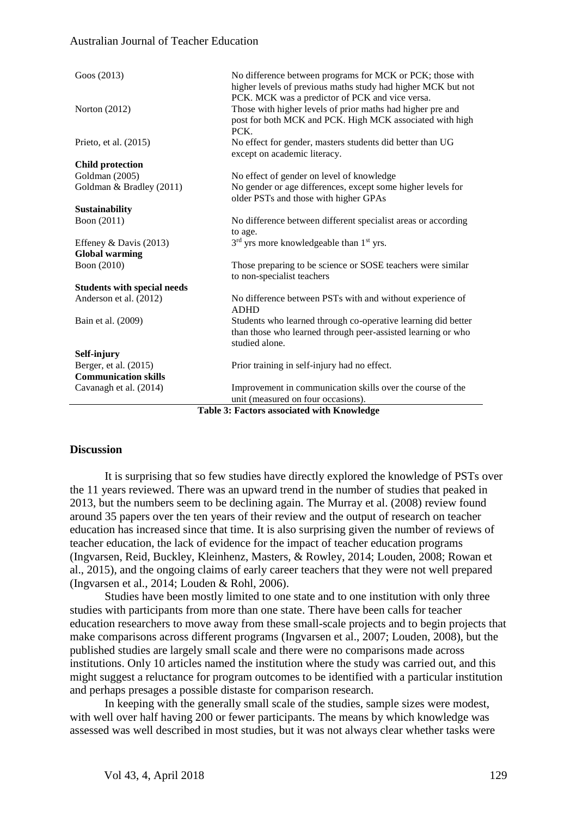| Goos (2013)                                | No difference between programs for MCK or PCK; those with<br>higher levels of previous maths study had higher MCK but not<br>PCK. MCK was a predictor of PCK and vice versa. |  |  |
|--------------------------------------------|------------------------------------------------------------------------------------------------------------------------------------------------------------------------------|--|--|
| Norton $(2012)$                            | Those with higher levels of prior maths had higher pre and<br>post for both MCK and PCK. High MCK associated with high<br>PCK.                                               |  |  |
| Prieto, et al. (2015)                      | No effect for gender, masters students did better than UG<br>except on academic literacy.                                                                                    |  |  |
| <b>Child protection</b>                    |                                                                                                                                                                              |  |  |
| Goldman (2005)                             | No effect of gender on level of knowledge                                                                                                                                    |  |  |
| Goldman & Bradley (2011)                   | No gender or age differences, except some higher levels for<br>older PSTs and those with higher GPAs                                                                         |  |  |
| Sustainability                             |                                                                                                                                                                              |  |  |
| Boon (2011)                                | No difference between different specialist areas or according<br>to age.                                                                                                     |  |  |
| Effeney & Davis (2013)                     | 3 <sup>rd</sup> yrs more knowledgeable than 1 <sup>st</sup> yrs.                                                                                                             |  |  |
| <b>Global warming</b>                      |                                                                                                                                                                              |  |  |
| Boon (2010)                                | Those preparing to be science or SOSE teachers were similar<br>to non-specialist teachers                                                                                    |  |  |
| <b>Students with special needs</b>         |                                                                                                                                                                              |  |  |
| Anderson et al. (2012)                     | No difference between PSTs with and without experience of<br><b>ADHD</b>                                                                                                     |  |  |
| Bain et al. (2009)                         | Students who learned through co-operative learning did better<br>than those who learned through peer-assisted learning or who<br>studied alone.                              |  |  |
| Self-injury                                |                                                                                                                                                                              |  |  |
| Berger, et al. (2015)                      | Prior training in self-injury had no effect.                                                                                                                                 |  |  |
| <b>Communication skills</b>                |                                                                                                                                                                              |  |  |
| Cavanagh et al. (2014)                     | Improvement in communication skills over the course of the<br>unit (measured on four occasions).                                                                             |  |  |
| Table 3: Factors associated with Knowledge |                                                                                                                                                                              |  |  |

#### **Discussion**

It is surprising that so few studies have directly explored the knowledge of PSTs over the 11 years reviewed. There was an upward trend in the number of studies that peaked in 2013, but the numbers seem to be declining again. The Murray et al. (2008) review found around 35 papers over the ten years of their review and the output of research on teacher education has increased since that time. It is also surprising given the number of reviews of teacher education, the lack of evidence for the impact of teacher education programs (Ingvarsen, Reid, Buckley, Kleinhenz, Masters, & Rowley, 2014; Louden, 2008; Rowan et al., 2015), and the ongoing claims of early career teachers that they were not well prepared (Ingvarsen et al., 2014; Louden & Rohl, 2006).

Studies have been mostly limited to one state and to one institution with only three studies with participants from more than one state. There have been calls for teacher education researchers to move away from these small-scale projects and to begin projects that make comparisons across different programs (Ingvarsen et al., 2007; Louden, 2008), but the published studies are largely small scale and there were no comparisons made across institutions. Only 10 articles named the institution where the study was carried out, and this might suggest a reluctance for program outcomes to be identified with a particular institution and perhaps presages a possible distaste for comparison research.

In keeping with the generally small scale of the studies, sample sizes were modest, with well over half having 200 or fewer participants. The means by which knowledge was assessed was well described in most studies, but it was not always clear whether tasks were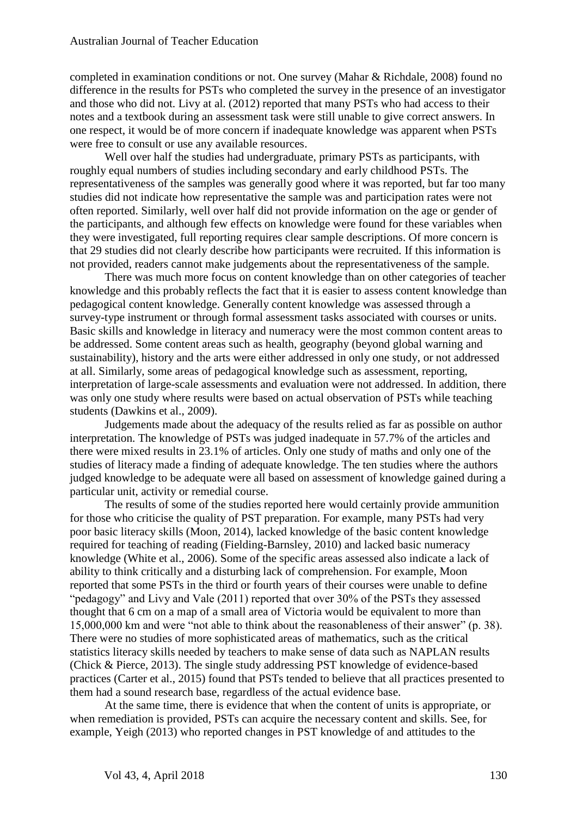completed in examination conditions or not. One survey (Mahar & Richdale, 2008) found no difference in the results for PSTs who completed the survey in the presence of an investigator and those who did not. Livy at al. (2012) reported that many PSTs who had access to their notes and a textbook during an assessment task were still unable to give correct answers. In one respect, it would be of more concern if inadequate knowledge was apparent when PSTs were free to consult or use any available resources.

Well over half the studies had undergraduate, primary PSTs as participants, with roughly equal numbers of studies including secondary and early childhood PSTs. The representativeness of the samples was generally good where it was reported, but far too many studies did not indicate how representative the sample was and participation rates were not often reported. Similarly, well over half did not provide information on the age or gender of the participants, and although few effects on knowledge were found for these variables when they were investigated, full reporting requires clear sample descriptions. Of more concern is that 29 studies did not clearly describe how participants were recruited. If this information is not provided, readers cannot make judgements about the representativeness of the sample.

There was much more focus on content knowledge than on other categories of teacher knowledge and this probably reflects the fact that it is easier to assess content knowledge than pedagogical content knowledge. Generally content knowledge was assessed through a survey-type instrument or through formal assessment tasks associated with courses or units. Basic skills and knowledge in literacy and numeracy were the most common content areas to be addressed. Some content areas such as health, geography (beyond global warning and sustainability), history and the arts were either addressed in only one study, or not addressed at all. Similarly, some areas of pedagogical knowledge such as assessment, reporting, interpretation of large-scale assessments and evaluation were not addressed. In addition, there was only one study where results were based on actual observation of PSTs while teaching students (Dawkins et al., 2009).

Judgements made about the adequacy of the results relied as far as possible on author interpretation. The knowledge of PSTs was judged inadequate in 57.7% of the articles and there were mixed results in 23.1% of articles. Only one study of maths and only one of the studies of literacy made a finding of adequate knowledge. The ten studies where the authors judged knowledge to be adequate were all based on assessment of knowledge gained during a particular unit, activity or remedial course.

The results of some of the studies reported here would certainly provide ammunition for those who criticise the quality of PST preparation. For example, many PSTs had very poor basic literacy skills (Moon, 2014), lacked knowledge of the basic content knowledge required for teaching of reading (Fielding-Barnsley, 2010) and lacked basic numeracy knowledge (White et al., 2006). Some of the specific areas assessed also indicate a lack of ability to think critically and a disturbing lack of comprehension. For example, Moon reported that some PSTs in the third or fourth years of their courses were unable to define "pedagogy" and Livy and Vale (2011) reported that over 30% of the PSTs they assessed thought that 6 cm on a map of a small area of Victoria would be equivalent to more than 15,000,000 km and were "not able to think about the reasonableness of their answer" (p. 38). There were no studies of more sophisticated areas of mathematics, such as the critical statistics literacy skills needed by teachers to make sense of data such as NAPLAN results (Chick & Pierce, 2013). The single study addressing PST knowledge of evidence-based practices (Carter et al., 2015) found that PSTs tended to believe that all practices presented to them had a sound research base, regardless of the actual evidence base.

At the same time, there is evidence that when the content of units is appropriate, or when remediation is provided, PSTs can acquire the necessary content and skills. See, for example, Yeigh (2013) who reported changes in PST knowledge of and attitudes to the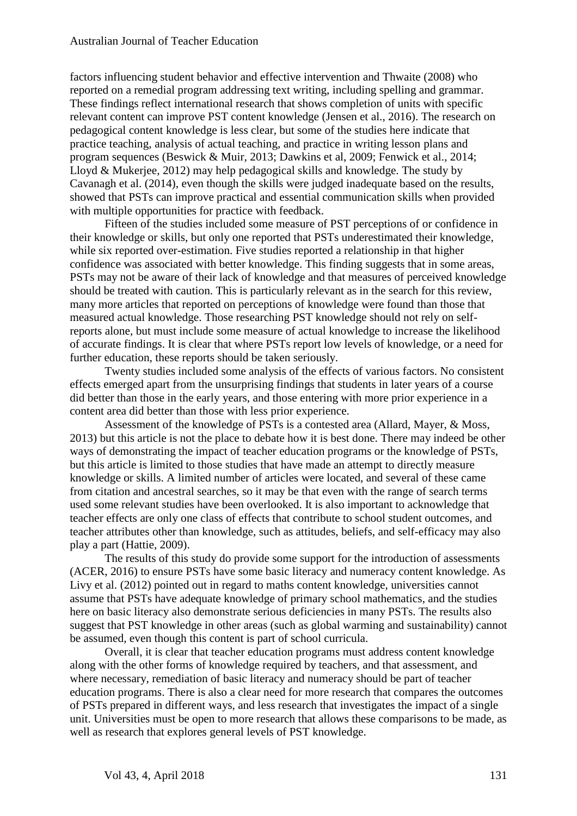factors influencing student behavior and effective intervention and Thwaite (2008) who reported on a remedial program addressing text writing, including spelling and grammar. These findings reflect international research that shows completion of units with specific relevant content can improve PST content knowledge (Jensen et al., 2016). The research on pedagogical content knowledge is less clear, but some of the studies here indicate that practice teaching, analysis of actual teaching, and practice in writing lesson plans and program sequences (Beswick & Muir, 2013; Dawkins et al, 2009; Fenwick et al., 2014; Lloyd & Mukerjee, 2012) may help pedagogical skills and knowledge. The study by Cavanagh et al. (2014), even though the skills were judged inadequate based on the results, showed that PSTs can improve practical and essential communication skills when provided with multiple opportunities for practice with feedback.

Fifteen of the studies included some measure of PST perceptions of or confidence in their knowledge or skills, but only one reported that PSTs underestimated their knowledge, while six reported over-estimation. Five studies reported a relationship in that higher confidence was associated with better knowledge. This finding suggests that in some areas, PSTs may not be aware of their lack of knowledge and that measures of perceived knowledge should be treated with caution. This is particularly relevant as in the search for this review, many more articles that reported on perceptions of knowledge were found than those that measured actual knowledge. Those researching PST knowledge should not rely on selfreports alone, but must include some measure of actual knowledge to increase the likelihood of accurate findings. It is clear that where PSTs report low levels of knowledge, or a need for further education, these reports should be taken seriously.

Twenty studies included some analysis of the effects of various factors. No consistent effects emerged apart from the unsurprising findings that students in later years of a course did better than those in the early years, and those entering with more prior experience in a content area did better than those with less prior experience.

Assessment of the knowledge of PSTs is a contested area (Allard, Mayer, & Moss, 2013) but this article is not the place to debate how it is best done. There may indeed be other ways of demonstrating the impact of teacher education programs or the knowledge of PSTs, but this article is limited to those studies that have made an attempt to directly measure knowledge or skills. A limited number of articles were located, and several of these came from citation and ancestral searches, so it may be that even with the range of search terms used some relevant studies have been overlooked. It is also important to acknowledge that teacher effects are only one class of effects that contribute to school student outcomes, and teacher attributes other than knowledge, such as attitudes, beliefs, and self-efficacy may also play a part (Hattie, 2009).

The results of this study do provide some support for the introduction of assessments (ACER, 2016) to ensure PSTs have some basic literacy and numeracy content knowledge. As Livy et al. (2012) pointed out in regard to maths content knowledge, universities cannot assume that PSTs have adequate knowledge of primary school mathematics, and the studies here on basic literacy also demonstrate serious deficiencies in many PSTs. The results also suggest that PST knowledge in other areas (such as global warming and sustainability) cannot be assumed, even though this content is part of school curricula.

Overall, it is clear that teacher education programs must address content knowledge along with the other forms of knowledge required by teachers, and that assessment, and where necessary, remediation of basic literacy and numeracy should be part of teacher education programs. There is also a clear need for more research that compares the outcomes of PSTs prepared in different ways, and less research that investigates the impact of a single unit. Universities must be open to more research that allows these comparisons to be made, as well as research that explores general levels of PST knowledge.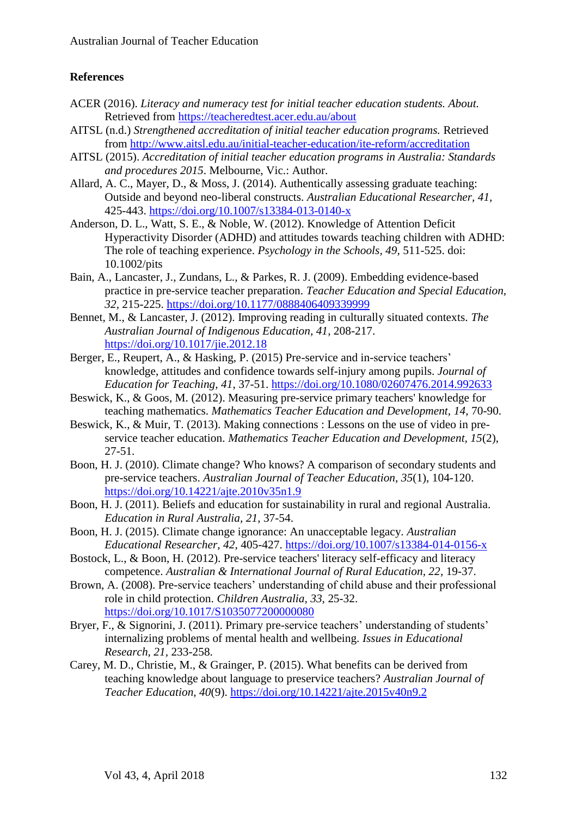# **References**

- ACER (2016). *Literacy and numeracy test for initial teacher education students. About.* Retrieved from<https://teacheredtest.acer.edu.au/about>
- AITSL (n.d.) *Strengthened accreditation of initial teacher education programs.* Retrieved from <http://www.aitsl.edu.au/initial-teacher-education/ite-reform/accreditation>
- AITSL (2015). *Accreditation of initial teacher education programs in Australia: Standards and procedures 2015*. Melbourne, Vic.: Author.
- Allard, A. C., Mayer, D., & Moss, J. (2014). Authentically assessing graduate teaching: Outside and beyond neo-liberal constructs. *Australian Educational Researcher, 41,*  425-443.<https://doi.org/10.1007/s13384-013-0140-x>
- Anderson, D. L., Watt, S. E., & Noble, W. (2012). Knowledge of Attention Deficit Hyperactivity Disorder (ADHD) and attitudes towards teaching children with ADHD: The role of teaching experience. *Psychology in the Schools, 49,* 511-525. doi: 10.1002/pits
- Bain, A., Lancaster, J., Zundans, L., & Parkes, R. J. (2009). Embedding evidence-based practice in pre-service teacher preparation. *Teacher Education and Special Education, 32,* 215-225.<https://doi.org/10.1177/0888406409339999>
- Bennet, M., & Lancaster, J. (2012). Improving reading in culturally situated contexts. *The Australian Journal of Indigenous Education, 41,* 208-217. <https://doi.org/10.1017/jie.2012.18>
- Berger, E., Reupert, A., & Hasking, P. (2015) Pre-service and in-service teachers' knowledge, attitudes and confidence towards self-injury among pupils. *Journal of Education for Teaching, 41*, 37-51. <https://doi.org/10.1080/02607476.2014.992633>
- Beswick, K., & Goos, M. (2012). Measuring pre-service primary teachers' knowledge for teaching mathematics. *Mathematics Teacher Education and Development, 14*, 70-90.
- Beswick, K., & Muir, T. (2013). Making connections : Lessons on the use of video in preservice teacher education. *Mathematics Teacher Education and Development, 15*(2), 27-51.
- Boon, H. J. (2010). Climate change? Who knows? A comparison of secondary students and pre-service teachers. *Australian Journal of Teacher Education, 35*(1), 104-120. <https://doi.org/10.14221/ajte.2010v35n1.9>
- Boon, H. J. (2011). Beliefs and education for sustainability in rural and regional Australia. *Education in Rural Australia, 21*, 37-54.
- Boon, H. J. (2015). Climate change ignorance: An unacceptable legacy. *Australian Educational Researcher, 42*, 405-427. <https://doi.org/10.1007/s13384-014-0156-x>
- Bostock, L., & Boon, H. (2012). Pre-service teachers' literacy self-efficacy and literacy competence. *Australian & International Journal of Rural Education, 22*, 19-37.
- Brown, A. (2008). Pre-service teachers' understanding of child abuse and their professional role in child protection. *Children Australia, 33,* 25-32. <https://doi.org/10.1017/S1035077200000080>
- Bryer, F., & Signorini, J. (2011). Primary pre-service teachers' understanding of students' internalizing problems of mental health and wellbeing. *Issues in Educational Research, 21,* 233-258.
- Carey, M. D., Christie, M., & Grainger, P. (2015). What benefits can be derived from teaching knowledge about language to preservice teachers? *Australian Journal of Teacher Education, 40*(9).<https://doi.org/10.14221/ajte.2015v40n9.2>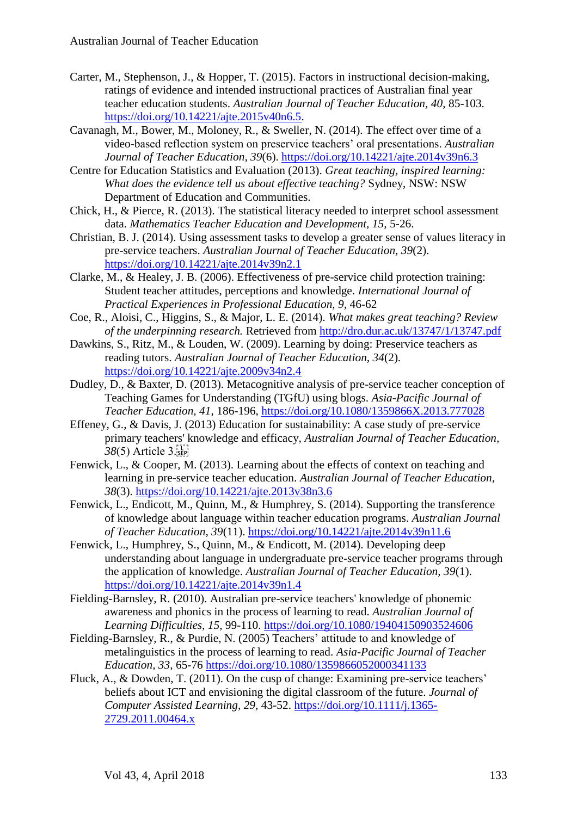- Carter, M., Stephenson, J., & Hopper, T. (2015). Factors in instructional decision-making, ratings of evidence and intended instructional practices of Australian final year teacher education students. *Australian Journal of Teacher Education, 40*, 85-103. [https://doi.org/10.14221/ajte.2015v40n6.5.](https://doi.org/10.14221/ajte.2015v40n6.5)
- Cavanagh, M., Bower, M., Moloney, R., & Sweller, N. (2014). The effect over time of a video-based reflection system on preservice teachers' oral presentations. *Australian Journal of Teacher Education, 39*(6).<https://doi.org/10.14221/ajte.2014v39n6.3>
- Centre for Education Statistics and Evaluation (2013). *Great teaching, inspired learning: What does the evidence tell us about effective teaching?* Sydney, NSW: NSW Department of Education and Communities.
- Chick, H., & Pierce, R. (2013). The statistical literacy needed to interpret school assessment data. *Mathematics Teacher Education and Development, 15,* 5-26.
- Christian, B. J. (2014). Using assessment tasks to develop a greater sense of values literacy in pre-service teachers. *Australian Journal of Teacher Education, 39*(2). <https://doi.org/10.14221/ajte.2014v39n2.1>
- Clarke, M., & Healey, J. B. (2006). Effectiveness of pre-service child protection training: Student teacher attitudes, perceptions and knowledge. *International Journal of Practical Experiences in Professional Education, 9,* 46-62
- Coe, R., Aloisi, C., Higgins, S., & Major, L. E. (2014). *What makes great teaching? Review of the underpinning research.* Retrieved from<http://dro.dur.ac.uk/13747/1/13747.pdf>
- Dawkins, S., Ritz, M., & Louden, W. (2009). Learning by doing: Preservice teachers as reading tutors. *Australian Journal of Teacher Education, 34*(2). <https://doi.org/10.14221/ajte.2009v34n2.4>
- Dudley, D., & Baxter, D. (2013). Metacognitive analysis of pre-service teacher conception of Teaching Games for Understanding (TGfU) using blogs. *Asia-Pacific Journal of Teacher Education, 41*, 186-196,<https://doi.org/10.1080/1359866X.2013.777028>
- Effeney, G., & Davis, J. (2013) Education for sustainability: A case study of pre-service primary teachers' knowledge and efficacy, *Australian Journal of Teacher Education, 38*(5) Article 3.
- Fenwick, L., & Cooper, M. (2013). Learning about the effects of context on teaching and learning in pre-service teacher education. *Australian Journal of Teacher Education, 38*(3).<https://doi.org/10.14221/ajte.2013v38n3.6>
- Fenwick, L., Endicott, M., Quinn, M., & Humphrey, S. (2014). Supporting the transference of knowledge about language within teacher education programs. *Australian Journal of Teacher Education, 39*(11).<https://doi.org/10.14221/ajte.2014v39n11.6>
- Fenwick, L., Humphrey, S., Quinn, M., & Endicott, M. (2014). Developing deep understanding about language in undergraduate pre-service teacher programs through the application of knowledge. *Australian Journal of Teacher Education, 39*(1). <https://doi.org/10.14221/ajte.2014v39n1.4>
- Fielding-Barnsley, R. (2010). Australian pre-service teachers' knowledge of phonemic awareness and phonics in the process of learning to read. *Australian Journal of Learning Difficulties, 15*, 99-110.<https://doi.org/10.1080/19404150903524606>
- Fielding-Barnsley, R., & Purdie, N. (2005) Teachers' attitude to and knowledge of metalinguistics in the process of learning to read. *Asia-Pacific Journal of Teacher Education, 33,* 65-76 <https://doi.org/10.1080/1359866052000341133>
- Fluck, A., & Dowden, T. (2011). On the cusp of change: Examining pre-service teachers' beliefs about ICT and envisioning the digital classroom of the future. *Journal of Computer Assisted Learning, 29,* 43-52. [https://doi.org/10.1111/j.1365-](https://doi.org/10.1111/j.1365-2729.2011.00464.x) [2729.2011.00464.x](https://doi.org/10.1111/j.1365-2729.2011.00464.x)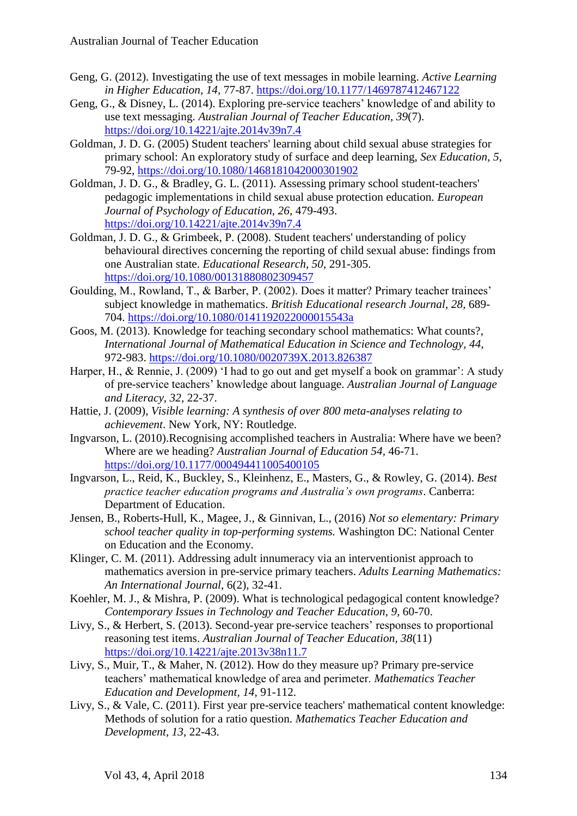- Geng, G. (2012). Investigating the use of text messages in mobile learning. *Active Learning in Higher Education, 14,* 77-87.<https://doi.org/10.1177/1469787412467122>
- Geng, G., & Disney, L. (2014). Exploring pre-service teachers' knowledge of and ability to use text messaging. *Australian Journal of Teacher Education, 39*(7). <https://doi.org/10.14221/ajte.2014v39n7.4>
- Goldman, J. D. G. (2005) Student teachers' learning about child sexual abuse strategies for primary school: An exploratory study of surface and deep learning, *Sex Education, 5*, 79-92,<https://doi.org/10.1080/1468181042000301902>
- Goldman, J. D. G., & Bradley, G. L. (2011). Assessing primary school student-teachers' pedagogic implementations in child sexual abuse protection education. *European Journal of Psychology of Education, 26,* 479-493. <https://doi.org/10.14221/ajte.2014v39n7.4>
- Goldman, J. D. G., & Grimbeek, P. (2008). Student teachers' understanding of policy behavioural directives concerning the reporting of child sexual abuse: findings from one Australian state. *Educational Research, 50*, 291-305. <https://doi.org/10.1080/00131880802309457>
- Goulding, M., Rowland, T., & Barber, P. (2002). Does it matter? Primary teacher trainees' subject knowledge in mathematics. *British Educational research Journal, 28,* 689- 704. <https://doi.org/10.1080/0141192022000015543a>
- Goos, M. (2013). Knowledge for teaching secondary school mathematics: What counts?, *International Journal of Mathematical Education in Science and Technology, 44*, 972-983.<https://doi.org/10.1080/0020739X.2013.826387>
- Harper, H., & Rennie, J. (2009) 'I had to go out and get myself a book on grammar': A study of pre-service teachers' knowledge about language. *Australian Journal of Language and Literacy, 32,* 22-37.
- Hattie, J. (2009), *Visible learning: A synthesis of over 800 meta-analyses relating to achievement*. New York, NY: Routledge.
- Ingvarson, L. (2010).Recognising accomplished teachers in Australia: Where have we been? Where are we heading? *Australian Journal of Education 54,* 46-71. <https://doi.org/10.1177/000494411005400105>
- Ingvarson, L., Reid, K., Buckley, S., Kleinhenz, E., Masters, G., & Rowley, G. (2014). *Best practice teacher education programs and Australia's own programs*. Canberra: Department of Education.
- Jensen, B., Roberts-Hull, K., Magee, J., & Ginnivan, L., (2016) *Not so elementary: Primary school teacher quality in top-performing systems.* Washington DC: National Center on Education and the Economy.
- Klinger, C. M. (2011). Addressing adult innumeracy via an interventionist approach to mathematics aversion in pre-service primary teachers. *Adults Learning Mathematics: An International Journal*, 6(2), 32-41.
- Koehler, M. J., & Mishra, P. (2009). What is technological pedagogical content knowledge? *Contemporary Issues in Technology and Teacher Education*, *9*, 60-70.
- Livy, S., & Herbert, S. (2013). Second-year pre-service teachers' responses to proportional reasoning test items. *Australian Journal of Teacher Education, 38*(11) <https://doi.org/10.14221/ajte.2013v38n11.7>
- Livy, S., Muir, T., & Maher, N. (2012). How do they measure up? Primary pre-service teachers' mathematical knowledge of area and perimeter. *Mathematics Teacher Education and Development, 14,* 91-112.
- Livy, S., & Vale, C. (2011). First year pre-service teachers' mathematical content knowledge: Methods of solution for a ratio question. *Mathematics Teacher Education and Development, 13*, 22-43.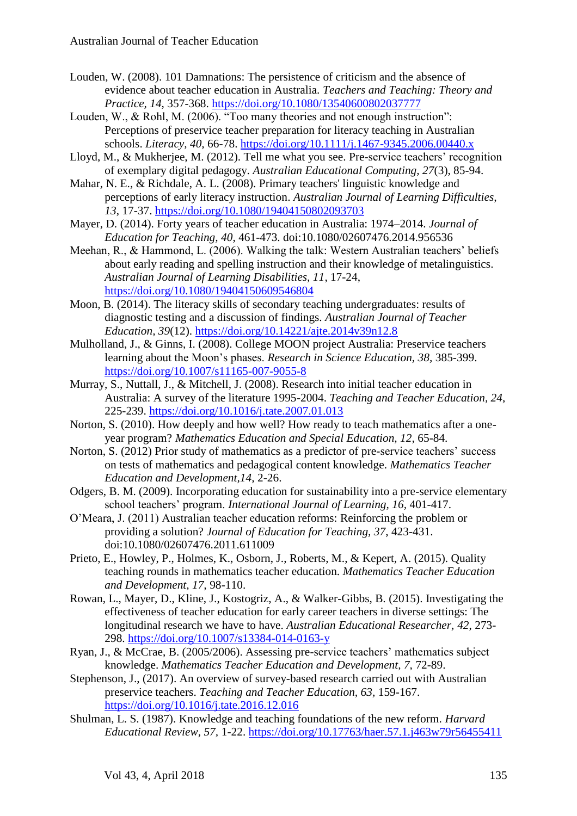- Louden, W. (2008). 101 Damnations: The persistence of criticism and the absence of evidence about teacher education in Australia. *Teachers and Teaching: Theory and Practice, 14*, 357-368. <https://doi.org/10.1080/13540600802037777>
- Louden, W., & Rohl, M. (2006). "Too many theories and not enough instruction": Perceptions of preservice teacher preparation for literacy teaching in Australian schools. *Literacy, 40,* 66-78. <https://doi.org/10.1111/j.1467-9345.2006.00440.x>
- Lloyd, M., & Mukherjee, M. (2012). Tell me what you see. Pre-service teachers' recognition of exemplary digital pedagogy. *Australian Educational Computing, 27*(3), 85-94.
- Mahar, N. E., & Richdale, A. L. (2008). Primary teachers' linguistic knowledge and perceptions of early literacy instruction. *Australian Journal of Learning Difficulties, 13*, 17-37.<https://doi.org/10.1080/19404150802093703>
- Mayer, D. (2014). Forty years of teacher education in Australia: 1974–2014. *Journal of Education for Teaching, 40*, 461-473. doi:10.1080/02607476.2014.956536

Meehan, R., & Hammond, L. (2006). Walking the talk: Western Australian teachers' beliefs about early reading and spelling instruction and their knowledge of metalinguistics. *Australian Journal of Learning Disabilities, 11*, 17-24, <https://doi.org/10.1080/19404150609546804>

- Moon, B. (2014). The literacy skills of secondary teaching undergraduates: results of diagnostic testing and a discussion of findings. *Australian Journal of Teacher Education, 39*(12). <https://doi.org/10.14221/ajte.2014v39n12.8>
- Mulholland, J., & Ginns, I. (2008). College MOON project Australia: Preservice teachers learning about the Moon's phases. *Research in Science Education, 38,* 385-399. <https://doi.org/10.1007/s11165-007-9055-8>
- Murray, S., Nuttall, J., & Mitchell, J. (2008). Research into initial teacher education in Australia: A survey of the literature 1995-2004. *Teaching and Teacher Education, 24*, 225-239.<https://doi.org/10.1016/j.tate.2007.01.013>
- Norton, S. (2010). How deeply and how well? How ready to teach mathematics after a oneyear program? *Mathematics Education and Special Education, 12,* 65-84.
- Norton, S. (2012) Prior study of mathematics as a predictor of pre-service teachers' success on tests of mathematics and pedagogical content knowledge. *Mathematics Teacher Education and Development,14,* 2-26.
- Odgers, B. M. (2009). Incorporating education for sustainability into a pre-service elementary school teachers' program. *International Journal of Learning, 16,* 401-417.
- O'Meara, J. (2011) Australian teacher education reforms: Reinforcing the problem or providing a solution? *Journal of Education for Teaching, 37*, 423-431. doi:10.1080/02607476.2011.611009
- Prieto, E., Howley, P., Holmes, K., Osborn, J., Roberts, M., & Kepert, A. (2015). Quality teaching rounds in mathematics teacher education. *Mathematics Teacher Education and Development, 17,* 98-110.
- Rowan, L., Mayer, D., Kline, J., Kostogriz, A., & Walker-Gibbs, B. (2015). Investigating the effectiveness of teacher education for early career teachers in diverse settings: The longitudinal research we have to have. *Australian Educational Researcher, 42*, 273- 298.<https://doi.org/10.1007/s13384-014-0163-y>
- Ryan, J., & McCrae, B. (2005/2006). Assessing pre-service teachers' mathematics subject knowledge. *Mathematics Teacher Education and Development, 7,* 72-89.
- Stephenson, J., (2017). An overview of survey-based research carried out with Australian preservice teachers. *Teaching and Teacher Education, 63,* 159-167. <https://doi.org/10.1016/j.tate.2016.12.016>
- Shulman, L. S. (1987). Knowledge and teaching foundations of the new reform. *Harvard Educational Review, 57,* 1-22. <https://doi.org/10.17763/haer.57.1.j463w79r56455411>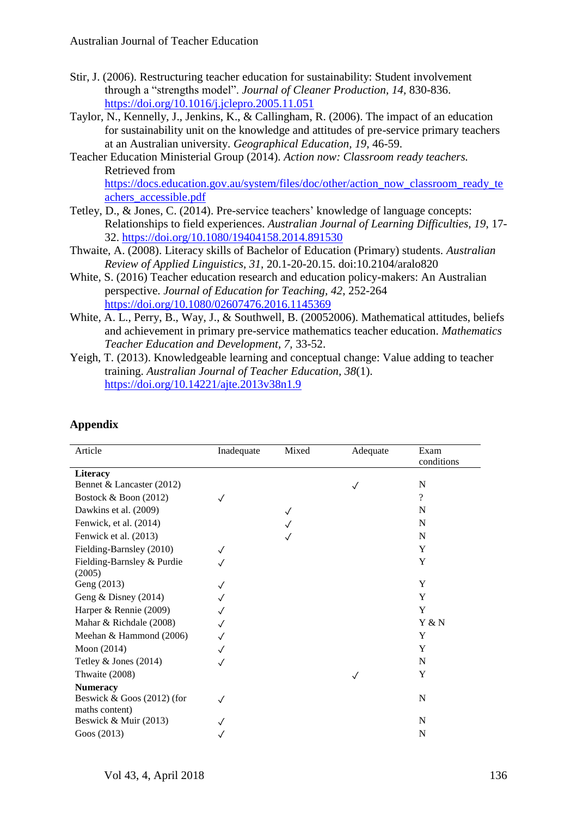- Stir, J. (2006). Restructuring teacher education for sustainability: Student involvement through a "strengths model". *Journal of Cleaner Production, 14,* 830-836. <https://doi.org/10.1016/j.jclepro.2005.11.051>
- Taylor, N., Kennelly, J., Jenkins, K., & Callingham, R. (2006). The impact of an education for sustainability unit on the knowledge and attitudes of pre-service primary teachers at an Australian university. *Geographical Education, 19,* 46-59.
- Teacher Education Ministerial Group (2014). *Action now: Classroom ready teachers.*  Retrieved from [https://docs.education.gov.au/system/files/doc/other/action\\_now\\_classroom\\_ready\\_te](https://docs.education.gov.au/system/files/doc/other/action_now_classroom_ready_teachers_accessible.pdf) [achers\\_accessible.pdf](https://docs.education.gov.au/system/files/doc/other/action_now_classroom_ready_teachers_accessible.pdf)
- Tetley, D., & Jones, C. (2014). Pre-service teachers' knowledge of language concepts: Relationships to field experiences. *Australian Journal of Learning Difficulties, 19*, 17- 32.<https://doi.org/10.1080/19404158.2014.891530>
- Thwaite, A. (2008). Literacy skills of Bachelor of Education (Primary) students. *Australian Review of Applied Linguistics, 31,* 20.1-20-20.15. doi:10.2104/aralo820
- White, S. (2016) Teacher education research and education policy-makers: An Australian perspective. *Journal of Education for Teaching, 42*, 252-264 <https://doi.org/10.1080/02607476.2016.1145369>
- White, A. L., Perry, B., Way, J., & Southwell, B. (20052006). Mathematical attitudes, beliefs and achievement in primary pre-service mathematics teacher education. *Mathematics Teacher Education and Development, 7,* 33-52.
- Yeigh, T. (2013). Knowledgeable learning and conceptual change: Value adding to teacher training. *Australian Journal of Teacher Education, 38*(1). <https://doi.org/10.14221/ajte.2013v38n1.9>

| Article                    | Inadequate | Mixed | Adequate | Exam<br>conditions |
|----------------------------|------------|-------|----------|--------------------|
| <b>Literacy</b>            |            |       |          |                    |
| Bennet & Lancaster (2012)  |            |       |          | N                  |
| Bostock & Boon (2012)      |            |       |          | ?                  |
| Dawkins et al. (2009)      |            |       |          | N                  |
| Fenwick, et al. (2014)     |            |       |          | N                  |
| Fenwick et al. (2013)      |            |       |          | N                  |
| Fielding-Barnsley (2010)   |            |       |          | Y                  |
| Fielding-Barnsley & Purdie |            |       |          | Y                  |
| (2005)                     |            |       |          |                    |
| Geng (2013)                |            |       |          | Y                  |
| Geng $&$ Disney (2014)     |            |       |          | Y                  |
| Harper & Rennie (2009)     |            |       |          | Y                  |
| Mahar & Richdale (2008)    |            |       |          | Y & N              |
| Meehan & Hammond (2006)    |            |       |          | Y                  |
| Moon (2014)                |            |       |          | Y                  |
| Tetley $&$ Jones (2014)    |            |       |          | N                  |
| Thwaite (2008)             |            |       |          | Y                  |
| <b>Numeracy</b>            |            |       |          |                    |
| Beswick & Goos (2012) (for |            |       |          | N                  |
| maths content)             |            |       |          |                    |
| Beswick & Muir (2013)      |            |       |          | N                  |
| Goos (2013)                |            |       |          | N                  |

# **Appendix**